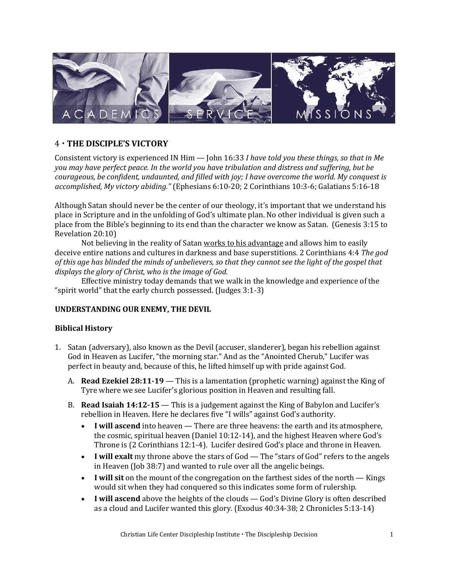

# 4 **THE DISCIPLE'S VICTORY**

Consistent victory is experienced IN Him — John 16:33 *I have told you these things, so that in Me you may have perfect peace. In the world you have tribulation and distress and suffering, but be courageous, be confident, undaunted, and filled with joy; I have overcome the world. My conquest is accomplished, My victory abiding."* (Ephesians 6:10-20; 2 Corinthians 10:3-6; Galatians 5:16-18

Although Satan should never be the center of our theology, it's important that we understand his place in Scripture and in the unfolding of God's ultimate plan. No other individual is given such a place from the Bible's beginning to its end than the character we know as Satan. (Genesis 3:15 to Revelation 20:10)

Not believing in the reality of Satan works to his advantage and allows him to easily deceive entire nations and cultures in darkness and base superstitions. 2 Corinthians 4:4 *The god of this age has blinded the minds of unbelievers, so that they cannot see the light of the gospel that displays the glory of Christ, who is the image of God.*

Effective ministry today demands that we walk in the knowledge and experience of the "spirit world" that the early church possessed. (Judges 3:1-3)

#### **UNDERSTANDING OUR ENEMY, THE DEVIL**

#### **Biblical History**

- 1. Satan (adversary), also known as the Devil (accuser, slanderer), began his rebellion against God in Heaven as Lucifer, "the morning star." And as the "Anointed Cherub," Lucifer was perfect in beauty and, because of this, he lifted himself up with pride against God.
	- A. **Read Ezekiel 28:11-19**  This is a lamentation (prophetic warning) against the King of Tyre where we see Lucifer's glorious position in Heaven and resulting fall.
	- B. **Read Isaiah 14:12-15**  This is a judgement against the King of Babylon and Lucifer's rebellion in Heaven. Here he declares five "I wills" against God's authority.
		- **I will ascend** into heaven There are three heavens: the earth and its atmosphere, the cosmic, spiritual heaven (Daniel 10:12-14), and the highest Heaven where God's Throne is (2 Corinthians 12:1-4). Lucifer desired God's place and throne in Heaven.
		- **I will exalt** my throne above the stars of God The "stars of God" refers to the angels in Heaven (Job 38:7) and wanted to rule over all the angelic beings.
		- **I will sit** on the mount of the congregation on the farthest sides of the north Kings would sit when they had conquered so this indicates some form of rulership.
		- **I will ascend** above the heights of the clouds God's Divine Glory is often described as a cloud and Lucifer wanted this glory. (Exodus 40:34-38; 2 Chronicles 5:13-14)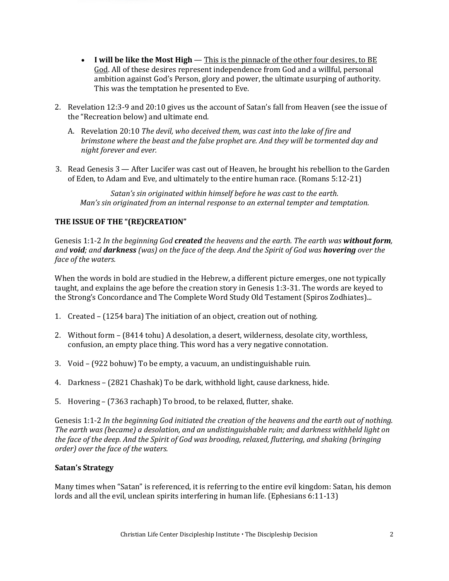- **I will be like the Most High**  This is the pinnacle of the other four desires, to BE God. All of these desires represent independence from God and a willful, personal ambition against God's Person, glory and power, the ultimate usurping of authority. This was the temptation he presented to Eve.
- 2. Revelation 12:3-9 and 20:10 gives us the account of Satan's fall from Heaven (see the issue of the "Recreation below) and ultimate end.
	- A. Revelation 20:10 *The devil, who deceived them, was cast into the lake of fire and brimstone where the beast and the false prophet are. And they will be tormented day and night forever and ever.*
- 3. Read Genesis 3 After Lucifer was cast out of Heaven, he brought his rebellion to the Garden of Eden, to Adam and Eve, and ultimately to the entire human race. (Romans 5:12-21)

*Satan's sin originated within himself before he was cast to the earth. Man's sin originated from an internal response to an external tempter and temptation.* 

### **THE ISSUE OF THE "(RE)CREATION"**

Genesis 1:1-2 *In the beginning God created the heavens and the earth. The earth was without form, and void; and darkness (was) on the face of the deep. And the Spirit of God was hovering over the face of the waters.*

When the words in bold are studied in the Hebrew, a different picture emerges, one not typically taught, and explains the age before the creation story in Genesis 1:3-31. The words are keyed to the Strong's Concordance and The Complete Word Study Old Testament (Spiros Zodhiates)...

- 1. Created (1254 bara) The initiation of an object, creation out of nothing.
- 2. Without form (8414 tohu) A desolation, a desert, wilderness, desolate city, worthless, confusion, an empty place thing. This word has a very negative connotation.
- 3. Void (922 bohuw) To be empty, a vacuum, an undistinguishable ruin.
- 4. Darkness (2821 Chashak) To be dark, withhold light, cause darkness, hide.
- 5. Hovering (7363 rachaph) To brood, to be relaxed, flutter, shake.

Genesis 1:1-2 *In the beginning God initiated the creation of the heavens and the earth out of nothing. The earth was (became) a desolation, and an undistinguishable ruin; and darkness withheld light on the face of the deep. And the Spirit of God was brooding, relaxed, fluttering, and shaking (bringing order) over the face of the waters.*

#### **Satan's Strategy**

Many times when "Satan" is referenced, it is referring to the entire evil kingdom: Satan, his demon lords and all the evil, unclean spirits interfering in human life. (Ephesians 6:11-13)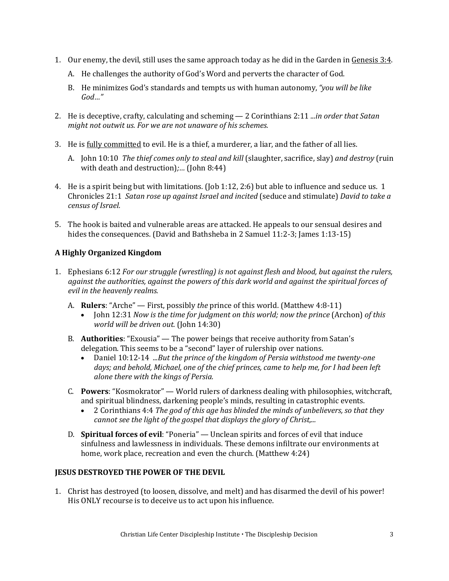- 1. Our enemy, the devil, still uses the same approach today as he did in the Garden in Genesis 3:4.
	- A. He challenges the authority of God's Word and perverts the character of God.
	- B. He minimizes God's standards and tempts us with human autonomy, *"you will be like God…"*
- 2. He is deceptive, crafty, calculating and scheming 2 Corinthians 2:11 *...in order that Satan might not outwit us. For we are not unaware of his schemes.*
- 3. He is fully committed to evil. He is a thief, a murderer, a liar, and the father of all lies.
	- A. John 10:10 *The thief comes only to steal and kill* (slaughter, sacrifice, slay) *and destroy* (ruin with death and destruction)*;…* (John 8:44)
- 4. He is a spirit being but with limitations. (Job 1:12, 2:6) but able to influence and seduce us. 1 Chronicles 21:1 *Satan rose up against Israel and incited* (seduce and stimulate) *David to take a census of Israel.*
- 5. The hook is baited and vulnerable areas are attacked. He appeals to our sensual desires and hides the consequences. (David and Bathsheba in 2 Samuel 11:2-3; James 1:13-15)

# **A Highly Organized Kingdom**

- 1. Ephesians 6:12 *For our struggle (wrestling) is not against flesh and blood, but against the rulers, against the authorities, against the powers of this dark world and against the spiritual forces of evil in the heavenly realms.*
	- A. **Rulers**: "Arche" First, possibly *the* prince of this world. (Matthew 4:8-11)
		- John 12:31 *Now is the time for judgment on this world; now the prince* (Archon) *of this world will be driven out.* (John 14:30)
	- B. **Authorities**: "Exousia" The power beings that receive authority from Satan's delegation. This seems to be a "second" layer of rulership over nations.
		- Daniel 10:12-14 *...But the prince of the kingdom of Persia withstood me twenty-one days; and behold, Michael, one of the chief princes, came to help me, for I had been left alone there with the kings of Persia.*
	- C. **Powers**: "Kosmokrator" World rulers of darkness dealing with philosophies, witchcraft, and spiritual blindness, darkening people's minds, resulting in catastrophic events.
		- 2 Corinthians 4:4 *The god of this age has blinded the minds of unbelievers, so that they cannot see the light of the gospel that displays the glory of Christ,...*
	- D. **Spiritual forces of evil**: "Poneria" Unclean spirits and forces of evil that induce sinfulness and lawlessness in individuals. These demons infiltrate our environments at home, work place, recreation and even the church. (Matthew 4:24)

## **JESUS DESTROYED THE POWER OF THE DEVIL**

1. Christ has destroyed (to loosen, dissolve, and melt) and has disarmed the devil of his power! His ONLY recourse is to deceive us to act upon his influence.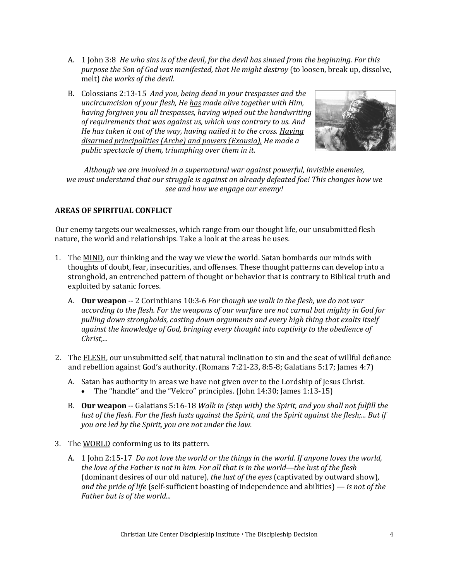- A. 1 John 3:8 *He who sins is of the devil, for the devil has sinned from the beginning. For this purpose the Son of God was manifested, that He might destroy* (to loosen, break up, dissolve, melt) *the works of the devil.*
- B. Colossians 2:13-15 *And you, being dead in your trespasses and the uncircumcision of your flesh, He has made alive together with Him, having forgiven you all trespasses, having wiped out the handwriting of requirements that was against us, which was contrary to us. And He has taken it out of the way, having nailed it to the cross. Having disarmed principalities (Arche) and powers (Exousia), He made a public spectacle of them, triumphing over them in it.*



*Although we are involved in a supernatural war against powerful, invisible enemies, we must understand that our struggle is against an already defeated foe! This changes how we see and how we engage our enemy!*

#### **AREAS OF SPIRITUAL CONFLICT**

Our enemy targets our weaknesses, which range from our thought life, our unsubmitted flesh nature, the world and relationships. Take a look at the areas he uses.

- 1. The MIND, our thinking and the way we view the world. Satan bombards our minds with thoughts of doubt, fear, insecurities, and offenses. These thought patterns can develop into a stronghold, an entrenched pattern of thought or behavior that is contrary to Biblical truth and exploited by satanic forces.
	- A. **Our weapon** -- 2 Corinthians 10:3-6 *For though we walk in the flesh, we do not war according to the flesh. For the weapons of our warfare are not carnal but mighty in God for pulling down strongholds, casting down arguments and every high thing that exalts itself against the knowledge of God, bringing every thought into captivity to the obedience of Christ,...*
- 2. The FLESH, our unsubmitted self, that natural inclination to sin and the seat of willful defiance and rebellion against God's authority. (Romans 7:21-23, 8:5-8; Galatians 5:17; James 4:7)
	- A. Satan has authority in areas we have not given over to the Lordship of Jesus Christ.
		- The "handle" and the "Velcro" principles. (John 14:30; James 1:13-15)
	- B. **Our weapon** -- Galatians 5:16-18 *Walk in (step with) the Spirit, and you shall not fulfill the lust of the flesh. For the flesh lusts against the Spirit, and the Spirit against the flesh;... But if you are led by the Spirit, you are not under the law.*
- 3. The WORLD conforming us to its pattern.
	- A. 1 John 2:15-17 *Do not love the world or the things in the world. If anyone loves the world, the love of the Father is not in him. For all that is in the world—the lust of the flesh*  (dominant desires of our old nature)*, the lust of the eyes* (captivated by outward show)*, and the pride of life* (self-sufficient boasting of independence and abilities) *— is not of the Father but is of the world...*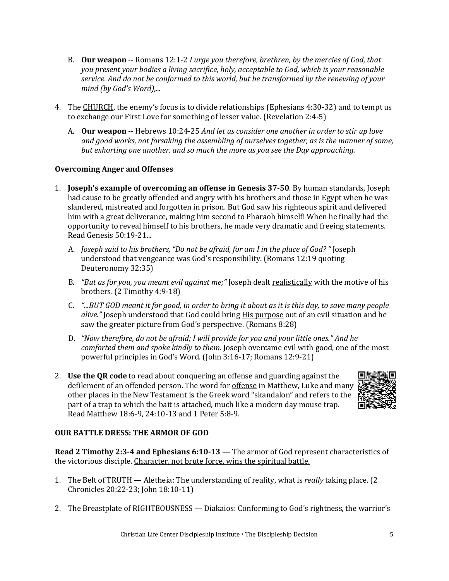- B. **Our weapon** -- Romans 12:1-2 *I urge you therefore, brethren, by the mercies of God, that you present your bodies a living sacrifice, holy, acceptable to God, which is your reasonable service. And do not be conformed to this world, but be transformed by the renewing of your mind (by God's Word),...*
- 4. The CHURCH, the enemy's focus is to divide relationships (Ephesians 4:30-32) and to tempt us to exchange our First Love for something of lesser value. (Revelation 2:4-5)
	- A. **Our weapon** -- Hebrews 10:24-25 *And let us consider one another in order to stir up love and good works, not forsaking the assembling of ourselves together, as is the manner of some, but exhorting one another, and so much the more as you see the Day approaching.*

#### **Overcoming Anger and Offenses**

- 1. **Joseph's example of overcoming an offense in Genesis 37-50**. By human standards, Joseph had cause to be greatly offended and angry with his brothers and those in Egypt when he was slandered, mistreated and forgotten in prison. But God saw his righteous spirit and delivered him with a great deliverance, making him second to Pharaoh himself! When he finally had the opportunity to reveal himself to his brothers, he made very dramatic and freeing statements. Read Genesis 50:19-21...
	- A. *Joseph said to his brothers, "Do not be afraid, for am I in the place of God? "* Joseph understood that vengeance was God's responsibility. (Romans 12:19 quoting Deuteronomy 32:35)
	- B. "But as for you, you meant evil against me;" Joseph dealt realistically with the motive of his brothers. (2 Timothy 4:9-18)
	- C. *"...BUT GOD meant it for good, in order to bring it about as it is this day, to save many people alive."* Joseph understood that God could bring His purpose out of an evil situation and he saw the greater picture from God's perspective. (Romans 8:28)
	- D. *"Now therefore, do not be afraid; I will provide for you and your little ones." And he comforted them and spoke kindly to them.* Joseph overcame evil with good, one of the most powerful principles in God's Word. (John 3:16-17; Romans 12:9-21)
- 2. **Use the QR code** to read about conquering an offense and guarding against the defilement of an offended person. The word for offense in Matthew, Luke and many other places in the New Testament is the Greek word "skandalon" and refers to the part of a trap to which the bait is attached, much like a modern day mouse trap. Read Matthew 18:6-9, 24:10-13 and 1 Peter 5:8-9*.*



#### **OUR BATTLE DRESS: THE ARMOR OF GOD**

**Read 2 Timothy 2:3-4 and Ephesians 6:10-13** — The armor of God represent characteristics of the victorious disciple. Character, not brute force, wins the spiritual battle.

- 1. The Belt of TRUTH Aletheia: The understanding of reality, what is *really* taking place. (2 Chronicles 20:22-23; John 18:10-11)
- 2. The Breastplate of RIGHTEOUSNESS Diakaios: Conforming to God's rightness, the warrior's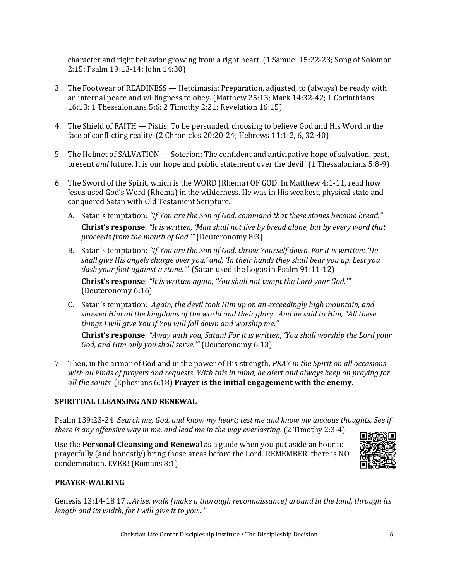character and right behavior growing from a right heart. (1 Samuel 15:22-23; Song of Solomon 2:15; Psalm 19:13-14; John 14:30)

- 3. The Footwear of READINESS Hetoimasia: Preparation, adjusted, to (always) be ready with an internal peace and willingness to obey. (Matthew 25:13; Mark 14:32-42; 1 Corinthians 16:13; 1 Thessalonians 5:6; 2 Timothy 2:21; Revelation 16:15)
- 4. The Shield of FAITH Pistis: To be persuaded, choosing to believe God and His Word in the face of conflicting reality. (2 Chronicles 20:20-24; Hebrews 11:1-2, 6, 32-40)
- 5. The Helmet of SALVATION Soterion: The confident and anticipative hope of salvation, past, present *and* future. It is our hope and public statement over the devil! (1 Thessalonians 5:8-9)
- 6. The Sword of the Spirit, which is the WORD (Rhema) OF GOD. In Matthew 4:1-11, read how Jesus used God's Word (Rhema) in the wilderness. He was in His weakest, physical state and conquered Satan with Old Testament Scripture.
	- A. Satan's temptation: *"If You are the Son of God, command that these stones become bread."*  **Christ's response**: *"It is written, 'Man shall not live by bread alone, but by every word that proceeds from the mouth of God.'"* (Deuteronomy 8:3)
	- B. Satan's temptation: *"If You are the Son of God, throw Yourself down. For it is written: 'He shall give His angels charge over you,' and, 'In their hands they shall bear you up, Lest you dash your foot against a stone.'"* (Satan used the Logos in Psalm 91:11-12)

**Christ's response**: *"It is written again, 'You shall not tempt the Lord your God.'"*  (Deuteronomy 6:16)

C. Satan's temptation: *Again, the devil took Him up on an exceedingly high mountain, and showed Him all the kingdoms of the world and their glory. And he said to Him, "All these things I will give You if You will fall down and worship me."*

**Christ's response**: *"Away with you, Satan! For it is written, 'You shall worship the Lord your God, and Him only you shall serve.'"* (Deuteronomy 6:13)

7. Then, in the armor of God and in the power of His strength, *PRAY in the Spirit on all occasions with all kinds of prayers and requests. With this in mind, be alert and always keep on praying for all the saints.* (Ephesians 6:18) **Prayer is the initial engagement with the enemy**.

#### **SPIRITUAL CLEANSING AND RENEWAL**

Psalm 139:23-24 *Search me, God, and know my heart; test me and know my anxious thoughts. See if there is any offensive way in me, and lead me in the way everlasting.* (2 Timothy 2:3-4)

Use the **Personal Cleansing and Renewal** as a guide when you put aside an hour to prayerfully (and honestly) bring those areas before the Lord. REMEMBER, there is NO condemnation. EVER! (Romans 8:1)



#### **PRAYER-WALKING**

Genesis 13:14-18 17 *...Arise, walk (make a thorough reconnaissance) around in the land, through its length and its width, for I will give it to you..."*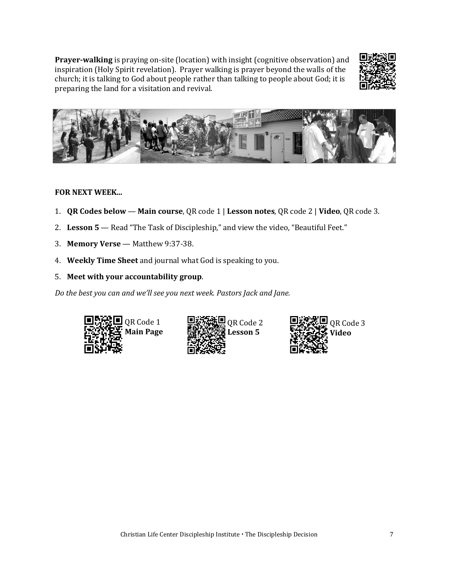**Prayer-walking** is praying on-site (location) with insight (cognitive observation) and inspiration (Holy Spirit revelation). Prayer walking is prayer beyond the walls of the church; it is talking to God about people rather than talking to people about God; it is preparing the land for a visitation and revival.





#### **FOR NEXT WEEK...**

- 1. **QR Codes below Main course**, QR code 1 | **Lesson notes**, QR code 2 | **Video**, QR code 3.
- 2. **Lesson 5**  Read "The Task of Discipleship," and view the video, "Beautiful Feet."
- 3. **Memory Verse** Matthew 9:37-38.
- 4. **Weekly Time Sheet** and journal what God is speaking to you.
- 5. **Meet with your accountability group**.

*Do the best you can and we'll see you next week. Pastors Jack and Jane.*